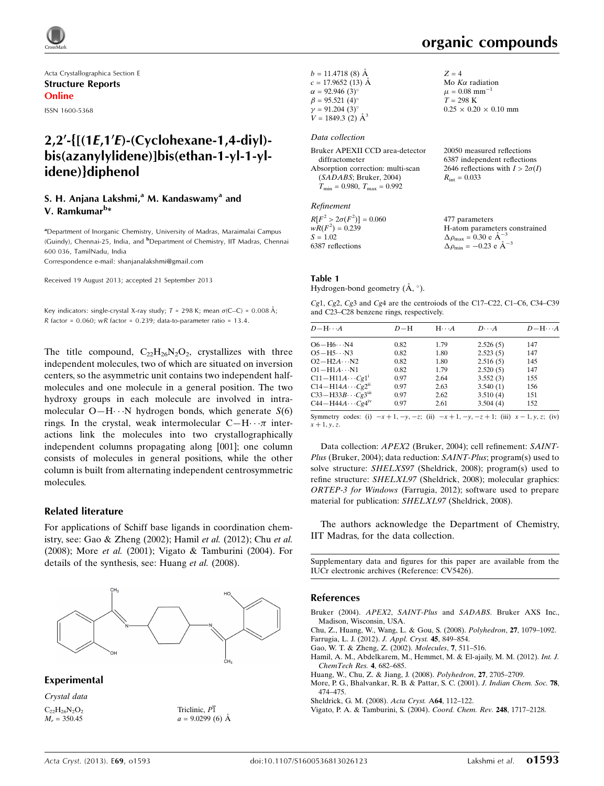Acta Crystallographica Section E Structure Reports Online

ISSN 1600-5368

## $2,2'$ -{ $[(1E,1'E)-(Cyclohexane-1,4-div])$ bis(azanylylidene)]bis(ethan-1-yl-1-ylidene)}diphenol

#### S. H. Anjana Lakshmi, $a^{n}$  M. Kandaswamy<sup>a</sup> and V. Ramkumar<sup>b</sup>\*

<sup>a</sup>Department of Inorganic Chemistry, University of Madras, Maraimalai Campus (Guindy), Chennai-25, India, and <sup>b</sup>Department of Chemistry, IIT Madras, Chennai 600 036, TamilNadu, India

Correspondence e-mail: [shanjanalakshmi@gmail.com](http://scripts.iucr.org/cgi-bin/cr.cgi?rm=pdfbb&cnor=cv5426&bbid=BB9)

Received 19 August 2013; accepted 21 September 2013

Key indicators: single-crystal X-ray study;  $T = 298$  K; mean  $\sigma$ (C–C) = 0.008 Å; R factor =  $0.060$ ; wR factor =  $0.239$ ; data-to-parameter ratio = 13.4.

The title compound,  $C_{22}H_{26}N_2O_2$ , crystallizes with three independent molecules, two of which are situated on inversion centers, so the asymmetric unit contains two independent halfmolecules and one molecule in a general position. The two hydroxy groups in each molecule are involved in intramolecular  $O-H \cdots N$  hydrogen bonds, which generate  $S(6)$ rings. In the crystal, weak intermolecular  $C-H \cdot \cdot \pi$  interactions link the molecules into two crystallographically independent columns propagating along [001]; one column consists of molecules in general positions, while the other column is built from alternating independent centrosymmetric molecules.

#### Related literature

For applications of Schiff base ligands in coordination chemistry, see: Gao & Zheng (2002); Hamil et al. (2012); Chu et al. (2008); More et al. (2001); Vigato & Tamburini (2004). For details of the synthesis, see: Huang et al. (2008).



Experimental

Crystal data  $C_{22}H_{26}N_2O_2$  $M<sub>r</sub> = 350.45$ 

Triclinic,  $P\overline{1}$  $a = 9.0299(6)$  Å organic compounds

 $Z = 4$ 

Mo  $K\alpha$  radiation  $\mu = 0.08$  mm<sup>-1</sup>  $T = 298 \text{ K}$ 

 $0.25 \times 0.20 \times 0.10$  mm

| $b = 11.4718(8)$ Å       |  |
|--------------------------|--|
| $c = 17.9652(13)$ Å      |  |
| $\alpha = 92.946(3)$ °   |  |
| $\beta = 95.521(4)$ °    |  |
| $\gamma = 91.204(3)$ °   |  |
| $V = 1849.3$ (2) $\AA^3$ |  |

#### Data collection

| Bruker APEXII CCD area-detector         | 20050 measured reflections             |
|-----------------------------------------|----------------------------------------|
| diffractometer                          | 6387 independent reflections           |
| Absorption correction: multi-scan       | 2646 reflections with $I > 2\sigma(I)$ |
| (SADABS; Bruker, 2004)                  | $R_{\rm int} = 0.033$                  |
| $T_{\min} = 0.980$ , $T_{\max} = 0.992$ |                                        |
|                                         |                                        |

#### Refinement

 $R[F^2 > 2\sigma(F^2)] = 0.060$ <br>  $wR(F^2) = 0.239$  $S = 1.02$ 6387 reflections 477 parameters H-atom parameters constrained  $\Delta \rho_{\text{max}} = 0.30 \text{ e A}^{-3}$  $\Delta \rho_{\rm min} = -0.23 \text{ e } \text{\AA}^{-3}$ 

#### Table 1

Hydrogen-bond geometry  $(\AA, \degree)$ .

 $Cg1$ ,  $Cg2$ ,  $Cg3$  and  $Cg4$  are the centroiods of the C17–C22, C1–C6, C34–C39 and C23–C28 benzene rings, respectively.

| $D - H \cdots A$                       | $D-H$ | $H \cdots A$ | $D \cdot \cdot \cdot A$ | $D - H \cdots A$ |
|----------------------------------------|-------|--------------|-------------------------|------------------|
| $O6 - H6 \cdots N4$                    | 0.82  | 1.79         | 2.526(5)                | 147              |
| $O5 - H5 \cdots N3$                    | 0.82  | 1.80         | 2.523(5)                | 147              |
| $O2 - H2A \cdots N2$                   | 0.82  | 1.80         | 2.516(5)                | 145              |
| $O1 - H1A \cdots N1$                   | 0.82  | 1.79         | 2.520(5)                | 147              |
| $C11 - H11A \cdots Cg1$                | 0.97  | 2.64         | 3.552(3)                | 155              |
| $C14 - H14A \cdots Cg2n$               | 0.97  | 2.63         | 3.540(1)                | 156              |
| $C33 - H33B \cdots Cg3$ <sup>iii</sup> | 0.97  | 2.62         | 3.510(4)                | 151              |
| $C44 - H44A \cdots Cg4iv$              | 0.97  | 2.61         | 3.504(4)                | 152              |

Symmetry codes: (i)  $-x+1, -y, -z$ ; (ii)  $-x+1, -y, -z+1$ ; (iii)  $x-1, y, z$ ; (iv)  $x + 1, y, z.$ 

Data collection: APEX2 (Bruker, 2004); cell refinement: SAINT-Plus (Bruker, 2004); data reduction: SAINT-Plus; program(s) used to solve structure: SHELXS97 (Sheldrick, 2008); program(s) used to refine structure: SHELXL97 (Sheldrick, 2008); molecular graphics: ORTEP-3 for Windows (Farrugia, 2012); software used to prepare material for publication: SHELXL97 (Sheldrick, 2008).

The authors acknowledge the Department of Chemistry, IIT Madras, for the data collection.

Supplementary data and figures for this paper are available from the IUCr electronic archives (Reference: CV5426).

#### References

- Bruker (2004). APEX2, SAINT-Plus and SADABS[. Bruker AXS Inc.,](http://scripts.iucr.org/cgi-bin/cr.cgi?rm=pdfbb&cnor=cv5426&bbid=BB1) [Madison, Wisconsin, USA.](http://scripts.iucr.org/cgi-bin/cr.cgi?rm=pdfbb&cnor=cv5426&bbid=BB1)
- [Chu, Z., Huang, W., Wang, L. & Gou, S. \(2008\).](http://scripts.iucr.org/cgi-bin/cr.cgi?rm=pdfbb&cnor=cv5426&bbid=BB2) Polyhedron, 27, 1079–1092. [Farrugia, L. J. \(2012\).](http://scripts.iucr.org/cgi-bin/cr.cgi?rm=pdfbb&cnor=cv5426&bbid=BB3) J. Appl. Cryst. 45, 849–854.
- [Gao, W. T. & Zheng, Z. \(2002\).](http://scripts.iucr.org/cgi-bin/cr.cgi?rm=pdfbb&cnor=cv5426&bbid=BB4) Molecules, 7, 511–516.
- [Hamil, A. M., Abdelkarem, M., Hemmet, M. & El-ajaily, M. M. \(2012\).](http://scripts.iucr.org/cgi-bin/cr.cgi?rm=pdfbb&cnor=cv5426&bbid=BB5) Int. J. [ChemTech Res.](http://scripts.iucr.org/cgi-bin/cr.cgi?rm=pdfbb&cnor=cv5426&bbid=BB5) 4, 682–685.
- [Huang, W., Chu, Z. & Jiang, J. \(2008\).](http://scripts.iucr.org/cgi-bin/cr.cgi?rm=pdfbb&cnor=cv5426&bbid=BB6) Polyhedron, 27, 2705–2709.
- [More, P. G., Bhalvankar, R. B. & Pattar, S. C. \(2001\).](http://scripts.iucr.org/cgi-bin/cr.cgi?rm=pdfbb&cnor=cv5426&bbid=BB7) J. Indian Chem. Soc. 78, [474–475.](http://scripts.iucr.org/cgi-bin/cr.cgi?rm=pdfbb&cnor=cv5426&bbid=BB7)
- [Sheldrick, G. M. \(2008\).](http://scripts.iucr.org/cgi-bin/cr.cgi?rm=pdfbb&cnor=cv5426&bbid=BB8) Acta Cryst. A64, 112–122.
- [Vigato, P. A. & Tamburini, S. \(2004\).](http://scripts.iucr.org/cgi-bin/cr.cgi?rm=pdfbb&cnor=cv5426&bbid=BB9) Coord. Chem. Rev. 248, 1717–2128.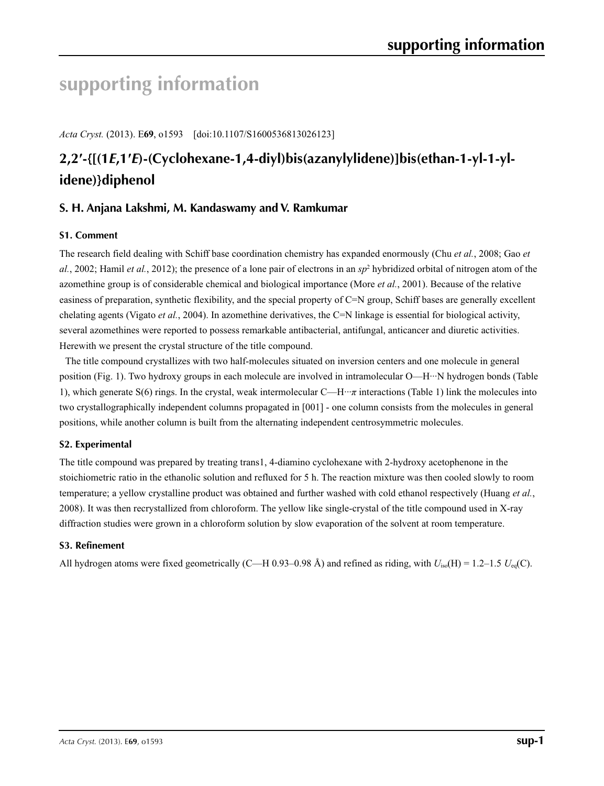# **supporting information**

*Acta Cryst.* (2013). E**69**, o1593 [doi:10.1107/S1600536813026123]

# **2,2′-{[(1***E***,1′***E***)-(Cyclohexane-1,4-diyl)bis(azanylylidene)]bis(ethan-1-yl-1-ylidene)}diphenol**

## **S. H. Anjana Lakshmi, M. Kandaswamy and V. Ramkumar**

### **S1. Comment**

The research field dealing with Schiff base coordination chemistry has expanded enormously (Chu *et al.*, 2008; Gao *et*  al., 2002; Hamil *et al.*, 2012); the presence of a lone pair of electrons in an *sp*<sup>2</sup> hybridized orbital of nitrogen atom of the azomethine group is of considerable chemical and biological importance (More *et al.*, 2001). Because of the relative easiness of preparation, synthetic flexibility, and the special property of C=N group, Schiff bases are generally excellent chelating agents (Vigato *et al.*, 2004). In azomethine derivatives, the C=N linkage is essential for biological activity, several azomethines were reported to possess remarkable antibacterial, antifungal, anticancer and diuretic activities. Herewith we present the crystal structure of the title compound.

The title compound crystallizes with two half-molecules situated on inversion centers and one molecule in general position (Fig. 1). Two hydroxy groups in each molecule are involved in intramolecular O—H···N hydrogen bonds (Table 1), which generate S(6) rings. In the crystal, weak intermolecular C—H···*π* interactions (Table 1) link the molecules into two crystallographically independent columns propagated in [001] - one column consists from the molecules in general positions, while another column is built from the alternating independent centrosymmetric molecules.

### **S2. Experimental**

The title compound was prepared by treating trans1, 4-diamino cyclohexane with 2-hydroxy acetophenone in the stoichiometric ratio in the ethanolic solution and refluxed for 5 h. The reaction mixture was then cooled slowly to room temperature; a yellow crystalline product was obtained and further washed with cold ethanol respectively (Huang *et al.*, 2008). It was then recrystallized from chloroform. The yellow like single-crystal of the title compound used in X-ray diffraction studies were grown in a chloroform solution by slow evaporation of the solvent at room temperature.

### **S3. Refinement**

All hydrogen atoms were fixed geometrically (C—H 0.93–0.98 Å) and refined as riding, with *U*iso(H) = 1.2–1.5 *U*eq(C).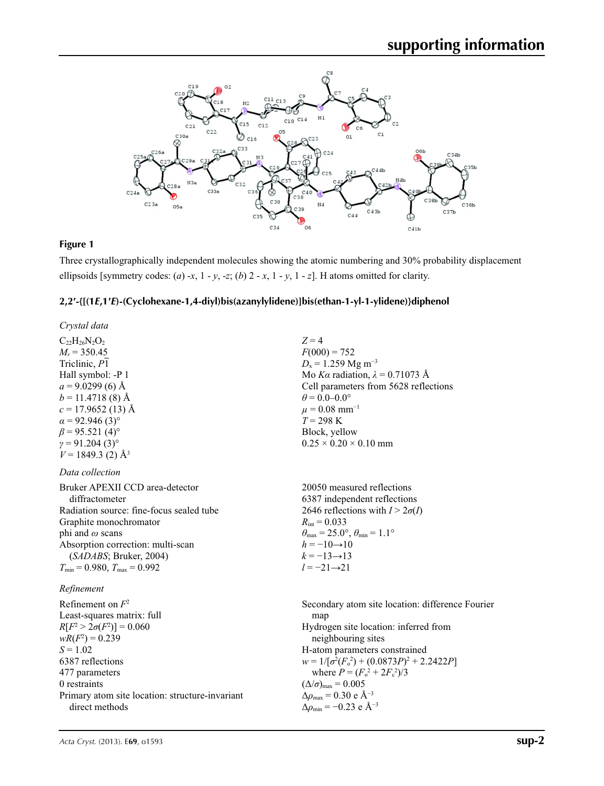

### **Figure 1**

Three crystallographically independent molecules showing the atomic numbering and 30% probability displacement ellipsoids [symmetry codes:  $(a) -x$ ,  $1 - y$ ,  $-z$ ;  $(b) 2 - x$ ,  $1 - y$ ,  $1 - z$ ]. H atoms omitted for clarity.

## **2,2′-{[(1***E***,1′***E***)-(Cyclohexane-1,4-diyl)bis(azanylylidene)]bis(ethan-1-yl-1-ylidene)}diphenol**

| $Z = 4$<br>$F(000) = 752$<br>$D_x = 1.259$ Mg m <sup>-3</sup><br>Mo Ka radiation, $\lambda = 0.71073$ Å<br>Cell parameters from 5628 reflections<br>$\theta = 0.0 - 0.0^{\circ}$<br>$\mu = 0.08$ mm <sup>-1</sup><br>$T = 298$ K<br>Block, yellow<br>$0.25 \times 0.20 \times 0.10$ mm                                                                                                             |
|----------------------------------------------------------------------------------------------------------------------------------------------------------------------------------------------------------------------------------------------------------------------------------------------------------------------------------------------------------------------------------------------------|
|                                                                                                                                                                                                                                                                                                                                                                                                    |
| 20050 measured reflections<br>6387 independent reflections<br>2646 reflections with $I > 2\sigma(I)$<br>$R_{\text{int}} = 0.033$<br>$\theta_{\text{max}} = 25.0^{\circ}, \theta_{\text{min}} = 1.1^{\circ}$<br>$h = -10 \rightarrow 10$<br>$k = -13 \rightarrow 13$<br>$l = -21 \rightarrow 21$                                                                                                    |
|                                                                                                                                                                                                                                                                                                                                                                                                    |
| Secondary atom site location: difference Fourier<br>map<br>Hydrogen site location: inferred from<br>neighbouring sites<br>H-atom parameters constrained<br>$w = 1/[\sigma^2(F_o^2) + (0.0873P)^2 + 2.2422P]$<br>where $P = (F_o^2 + 2F_c^2)/3$<br>$(\Delta/\sigma)_{\text{max}} = 0.005$<br>$\Delta\rho_{\text{max}}$ = 0.30 e Å <sup>-3</sup><br>$\Delta\rho_{\rm min} = -0.23$ e Å <sup>-3</sup> |
|                                                                                                                                                                                                                                                                                                                                                                                                    |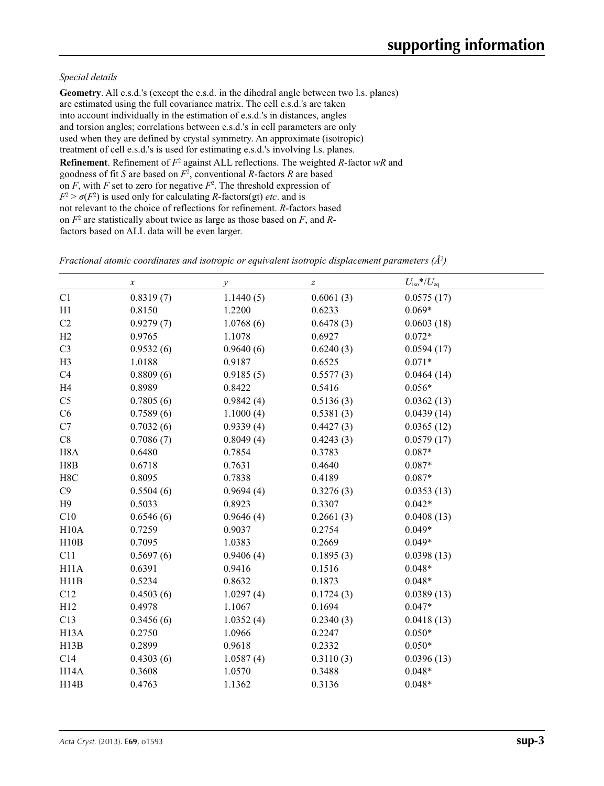#### *Special details*

**Geometry**. All e.s.d.'s (except the e.s.d. in the dihedral angle between two l.s. planes) are estimated using the full covariance matrix. The cell e.s.d.'s are taken into account individually in the estimation of e.s.d.'s in distances, angles and torsion angles; correlations between e.s.d.'s in cell parameters are only used when they are defined by crystal symmetry. An approximate (isotropic) treatment of cell e.s.d.'s is used for estimating e.s.d.'s involving l.s. planes. **Refinement**. Refinement of  $F^2$  against ALL reflections. The weighted *R*-factor wR and goodness of fit *S* are based on *F*<sup>2</sup> , conventional *R*-factors *R* are based on  $F$ , with  $F$  set to zero for negative  $F^2$ . The threshold expression of  $F^2 > \sigma(F^2)$  is used only for calculating *R*-factors(gt) *etc*. and is not relevant to the choice of reflections for refinement. *R*-factors based on *F*<sup>2</sup> are statistically about twice as large as those based on *F*, and *R*factors based on ALL data will be even larger.

|                   | $\boldsymbol{x}$ | $\mathcal{Y}$ | Z         | $U_{\rm iso}$ */ $U_{\rm eq}$ |
|-------------------|------------------|---------------|-----------|-------------------------------|
| C1                | 0.8319(7)        | 1.1440(5)     | 0.6061(3) | 0.0575(17)                    |
| H1                | 0.8150           | 1.2200        | 0.6233    | $0.069*$                      |
| C2                | 0.9279(7)        | 1.0768(6)     | 0.6478(3) | 0.0603(18)                    |
| H2                | 0.9765           | 1.1078        | 0.6927    | $0.072*$                      |
| C <sub>3</sub>    | 0.9532(6)        | 0.9640(6)     | 0.6240(3) | 0.0594(17)                    |
| H <sub>3</sub>    | 1.0188           | 0.9187        | 0.6525    | $0.071*$                      |
| C <sub>4</sub>    | 0.8809(6)        | 0.9185(5)     | 0.5577(3) | 0.0464(14)                    |
| H4                | 0.8989           | 0.8422        | 0.5416    | $0.056*$                      |
| C <sub>5</sub>    | 0.7805(6)        | 0.9842(4)     | 0.5136(3) | 0.0362(13)                    |
| C6                | 0.7589(6)        | 1.1000(4)     | 0.5381(3) | 0.0439(14)                    |
| C7                | 0.7032(6)        | 0.9339(4)     | 0.4427(3) | 0.0365(12)                    |
| C8                | 0.7086(7)        | 0.8049(4)     | 0.4243(3) | 0.0579(17)                    |
| H <sub>8</sub> A  | 0.6480           | 0.7854        | 0.3783    | $0.087*$                      |
| H8B               | 0.6718           | 0.7631        | 0.4640    | $0.087*$                      |
| H8C               | 0.8095           | 0.7838        | 0.4189    | $0.087*$                      |
| C9                | 0.5504(6)        | 0.9694(4)     | 0.3276(3) | 0.0353(13)                    |
| H9                | 0.5033           | 0.8923        | 0.3307    | $0.042*$                      |
| C10               | 0.6546(6)        | 0.9646(4)     | 0.2661(3) | 0.0408(13)                    |
| H10A              | 0.7259           | 0.9037        | 0.2754    | $0.049*$                      |
| H10B              | 0.7095           | 1.0383        | 0.2669    | $0.049*$                      |
| C11               | 0.5697(6)        | 0.9406(4)     | 0.1895(3) | 0.0398(13)                    |
| H11A              | 0.6391           | 0.9416        | 0.1516    | $0.048*$                      |
| H11B              | 0.5234           | 0.8632        | 0.1873    | $0.048*$                      |
| C12               | 0.4503(6)        | 1.0297(4)     | 0.1724(3) | 0.0389(13)                    |
| H12               | 0.4978           | 1.1067        | 0.1694    | $0.047*$                      |
| C13               | 0.3456(6)        | 1.0352(4)     | 0.2340(3) | 0.0418(13)                    |
| H <sub>13</sub> A | 0.2750           | 1.0966        | 0.2247    | $0.050*$                      |
| H13B              | 0.2899           | 0.9618        | 0.2332    | $0.050*$                      |
| C14               | 0.4303(6)        | 1.0587(4)     | 0.3110(3) | 0.0396(13)                    |
| H <sub>14</sub> A | 0.3608           | 1.0570        | 0.3488    | $0.048*$                      |
| H14B              | 0.4763           | 1.1362        | 0.3136    | $0.048*$                      |

*Fractional atomic coordinates and isotropic or equivalent isotropic displacement parameters (Å<sup>2</sup>)*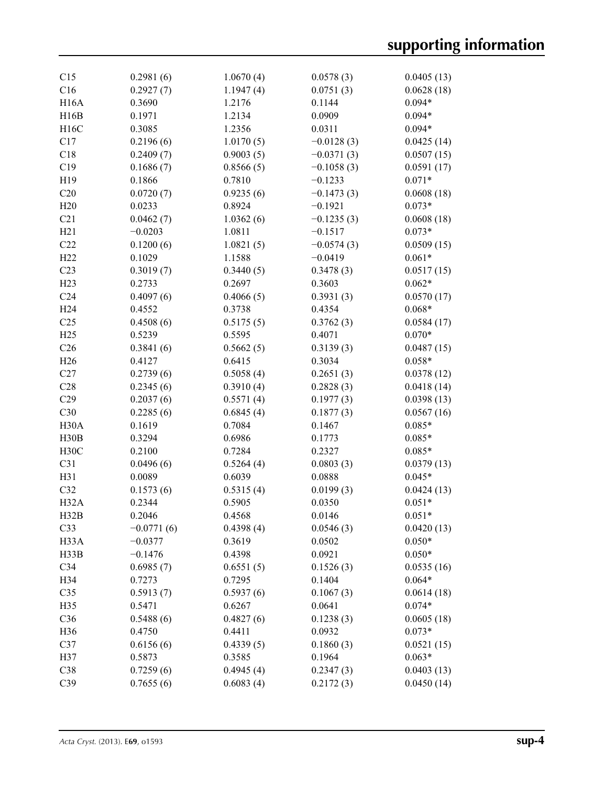| C15               | 0.2981(6)    | 1.0670(4) | 0.0578(3)    | 0.0405(13) |
|-------------------|--------------|-----------|--------------|------------|
| C16               | 0.2927(7)    | 1.1947(4) | 0.0751(3)    | 0.0628(18) |
| <b>H16A</b>       | 0.3690       | 1.2176    | 0.1144       | $0.094*$   |
| H16B              | 0.1971       | 1.2134    | 0.0909       | $0.094*$   |
| H16C              | 0.3085       | 1.2356    | 0.0311       | $0.094*$   |
| C17               | 0.2196(6)    | 1.0170(5) | $-0.0128(3)$ | 0.0425(14) |
| C18               | 0.2409(7)    | 0.9003(5) | $-0.0371(3)$ | 0.0507(15) |
| C19               | 0.1686(7)    | 0.8566(5) | $-0.1058(3)$ | 0.0591(17) |
| H19               | 0.1866       | 0.7810    | $-0.1233$    | $0.071*$   |
| C20               | 0.0720(7)    | 0.9235(6) | $-0.1473(3)$ | 0.0608(18) |
| H20               | 0.0233       | 0.8924    | $-0.1921$    | $0.073*$   |
| C21               | 0.0462(7)    | 1.0362(6) | $-0.1235(3)$ | 0.0608(18) |
| H21               | $-0.0203$    | 1.0811    | $-0.1517$    | $0.073*$   |
| C22               |              |           |              |            |
|                   | 0.1200(6)    | 1.0821(5) | $-0.0574(3)$ | 0.0509(15) |
| H22               | 0.1029       | 1.1588    | $-0.0419$    | $0.061*$   |
| C <sub>23</sub>   | 0.3019(7)    | 0.3440(5) | 0.3478(3)    | 0.0517(15) |
| H23               | 0.2733       | 0.2697    | 0.3603       | $0.062*$   |
| C <sub>24</sub>   | 0.4097(6)    | 0.4066(5) | 0.3931(3)    | 0.0570(17) |
| H <sub>24</sub>   | 0.4552       | 0.3738    | 0.4354       | $0.068*$   |
| C <sub>25</sub>   | 0.4508(6)    | 0.5175(5) | 0.3762(3)    | 0.0584(17) |
| H25               | 0.5239       | 0.5595    | 0.4071       | $0.070*$   |
| C <sub>26</sub>   | 0.3841(6)    | 0.5662(5) | 0.3139(3)    | 0.0487(15) |
| H <sub>26</sub>   | 0.4127       | 0.6415    | 0.3034       | $0.058*$   |
| C27               | 0.2739(6)    | 0.5058(4) | 0.2651(3)    | 0.0378(12) |
| C28               | 0.2345(6)    | 0.3910(4) | 0.2828(3)    | 0.0418(14) |
| C29               | 0.2037(6)    | 0.5571(4) | 0.1977(3)    | 0.0398(13) |
| C30               | 0.2285(6)    | 0.6845(4) | 0.1877(3)    | 0.0567(16) |
| H <sub>30</sub> A | 0.1619       | 0.7084    | 0.1467       | $0.085*$   |
| H30B              | 0.3294       | 0.6986    | 0.1773       | $0.085*$   |
| H30C              | 0.2100       | 0.7284    | 0.2327       | $0.085*$   |
| C31               | 0.0496(6)    | 0.5264(4) | 0.0803(3)    | 0.0379(13) |
| H31               | 0.0089       | 0.6039    | 0.0888       | $0.045*$   |
| C32               | 0.1573(6)    | 0.5315(4) | 0.0199(3)    | 0.0424(13) |
| H32A              | 0.2344       | 0.5905    | 0.0350       | $0.051*$   |
| H32B              | 0.2046       | 0.4568    | 0.0146       | $0.051*$   |
| C33               | $-0.0771(6)$ | 0.4398(4) | 0.0546(3)    | 0.0420(13) |
|                   | $-0.0377$    |           | 0.0502       |            |
| H <sub>3</sub> 3A |              | 0.3619    |              | $0.050*$   |
| H33B              | $-0.1476$    | 0.4398    | 0.0921       | $0.050*$   |
| C34               | 0.6985(7)    | 0.6551(5) | 0.1526(3)    | 0.0535(16) |
| H34               | 0.7273       | 0.7295    | 0.1404       | $0.064*$   |
| C35               | 0.5913(7)    | 0.5937(6) | 0.1067(3)    | 0.0614(18) |
| H35               | 0.5471       | 0.6267    | 0.0641       | $0.074*$   |
| C36               | 0.5488(6)    | 0.4827(6) | 0.1238(3)    | 0.0605(18) |
| H36               | 0.4750       | 0.4411    | 0.0932       | $0.073*$   |
| C37               | 0.6156(6)    | 0.4339(5) | 0.1860(3)    | 0.0521(15) |
| H37               | 0.5873       | 0.3585    | 0.1964       | $0.063*$   |
| C38               | 0.7259(6)    | 0.4945(4) | 0.2347(3)    | 0.0403(13) |
| C39               | 0.7655(6)    | 0.6083(4) | 0.2172(3)    | 0.0450(14) |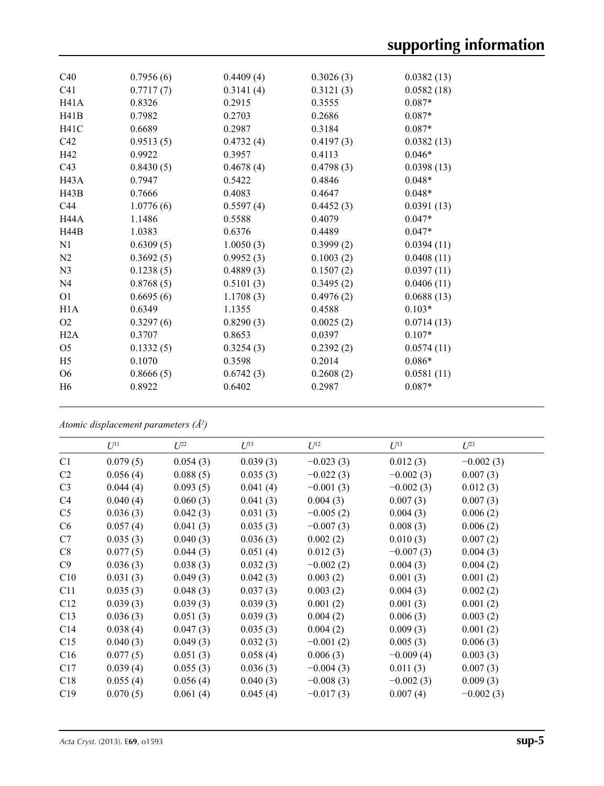| C40             | 0.7956(6) | 0.4409(4) | 0.3026(3) | 0.0382(13) |
|-----------------|-----------|-----------|-----------|------------|
| C <sub>41</sub> | 0.7717(7) | 0.3141(4) | 0.3121(3) | 0.0582(18) |
| H41A            | 0.8326    | 0.2915    | 0.3555    | $0.087*$   |
| H41B            | 0.7982    | 0.2703    | 0.2686    | $0.087*$   |
| <b>H41C</b>     | 0.6689    | 0.2987    | 0.3184    | $0.087*$   |
| C42             | 0.9513(5) | 0.4732(4) | 0.4197(3) | 0.0382(13) |
| H42             | 0.9922    | 0.3957    | 0.4113    | $0.046*$   |
| C <sub>43</sub> | 0.8430(5) | 0.4678(4) | 0.4798(3) | 0.0398(13) |
| H43A            | 0.7947    | 0.5422    | 0.4846    | $0.048*$   |
| H43B            | 0.7666    | 0.4083    | 0.4647    | $0.048*$   |
| C44             | 1.0776(6) | 0.5597(4) | 0.4452(3) | 0.0391(13) |
| <b>H44A</b>     | 1.1486    | 0.5588    | 0.4079    | $0.047*$   |
| H44B            | 1.0383    | 0.6376    | 0.4489    | $0.047*$   |
| N1              | 0.6309(5) | 1.0050(3) | 0.3999(2) | 0.0394(11) |
| N <sub>2</sub>  | 0.3692(5) | 0.9952(3) | 0.1003(2) | 0.0408(11) |
| N <sub>3</sub>  | 0.1238(5) | 0.4889(3) | 0.1507(2) | 0.0397(11) |
| N <sub>4</sub>  | 0.8768(5) | 0.5101(3) | 0.3495(2) | 0.0406(11) |
| O <sub>1</sub>  | 0.6695(6) | 1.1708(3) | 0.4976(2) | 0.0688(13) |
| H1A             | 0.6349    | 1.1355    | 0.4588    | $0.103*$   |
| O <sub>2</sub>  | 0.3297(6) | 0.8290(3) | 0.0025(2) | 0.0714(13) |
| H2A             | 0.3707    | 0.8653    | 0.0397    | $0.107*$   |
| O <sub>5</sub>  | 0.1332(5) | 0.3254(3) | 0.2392(2) | 0.0574(11) |
| H <sub>5</sub>  | 0.1070    | 0.3598    | 0.2014    | $0.086*$   |
| O <sub>6</sub>  | 0.8666(5) | 0.6742(3) | 0.2608(2) | 0.0581(11) |
| H <sub>6</sub>  | 0.8922    | 0.6402    | 0.2987    | $0.087*$   |
|                 |           |           |           |            |

*Atomic displacement parameters (Å2 )*

| $U^{11}$ | $U^{22}$ | $U^{33}$ | $U^{12}$    | $U$ <sup>13</sup> | $U^{23}$    |
|----------|----------|----------|-------------|-------------------|-------------|
| 0.079(5) | 0.054(3) | 0.039(3) | $-0.023(3)$ | 0.012(3)          | $-0.002(3)$ |
| 0.056(4) | 0.088(5) | 0.035(3) | $-0.022(3)$ | $-0.002(3)$       | 0.007(3)    |
| 0.044(4) | 0.093(5) | 0.041(4) | $-0.001(3)$ | $-0.002(3)$       | 0.012(3)    |
| 0.040(4) | 0.060(3) | 0.041(3) | 0.004(3)    | 0.007(3)          | 0.007(3)    |
| 0.036(3) | 0.042(3) | 0.031(3) | $-0.005(2)$ | 0.004(3)          | 0.006(2)    |
| 0.057(4) | 0.041(3) | 0.035(3) | $-0.007(3)$ | 0.008(3)          | 0.006(2)    |
| 0.035(3) | 0.040(3) | 0.036(3) | 0.002(2)    | 0.010(3)          | 0.007(2)    |
| 0.077(5) | 0.044(3) | 0.051(4) | 0.012(3)    | $-0.007(3)$       | 0.004(3)    |
| 0.036(3) | 0.038(3) | 0.032(3) | $-0.002(2)$ | 0.004(3)          | 0.004(2)    |
| 0.031(3) | 0.049(3) | 0.042(3) | 0.003(2)    | 0.001(3)          | 0.001(2)    |
| 0.035(3) | 0.048(3) | 0.037(3) | 0.003(2)    | 0.004(3)          | 0.002(2)    |
| 0.039(3) | 0.039(3) | 0.039(3) | 0.001(2)    | 0.001(3)          | 0.001(2)    |
| 0.036(3) | 0.051(3) | 0.039(3) | 0.004(2)    | 0.006(3)          | 0.003(2)    |
| 0.038(4) | 0.047(3) | 0.035(3) | 0.004(2)    | 0.009(3)          | 0.001(2)    |
| 0.040(3) | 0.049(3) | 0.032(3) | $-0.001(2)$ | 0.005(3)          | 0.006(3)    |
| 0.077(5) | 0.051(3) | 0.058(4) | 0.006(3)    | $-0.009(4)$       | 0.003(3)    |
| 0.039(4) | 0.055(3) | 0.036(3) | $-0.004(3)$ | 0.011(3)          | 0.007(3)    |
| 0.055(4) | 0.056(4) | 0.040(3) | $-0.008(3)$ | $-0.002(3)$       | 0.009(3)    |
| 0.070(5) | 0.061(4) | 0.045(4) | $-0.017(3)$ | 0.007(4)          | $-0.002(3)$ |
|          |          |          |             |                   |             |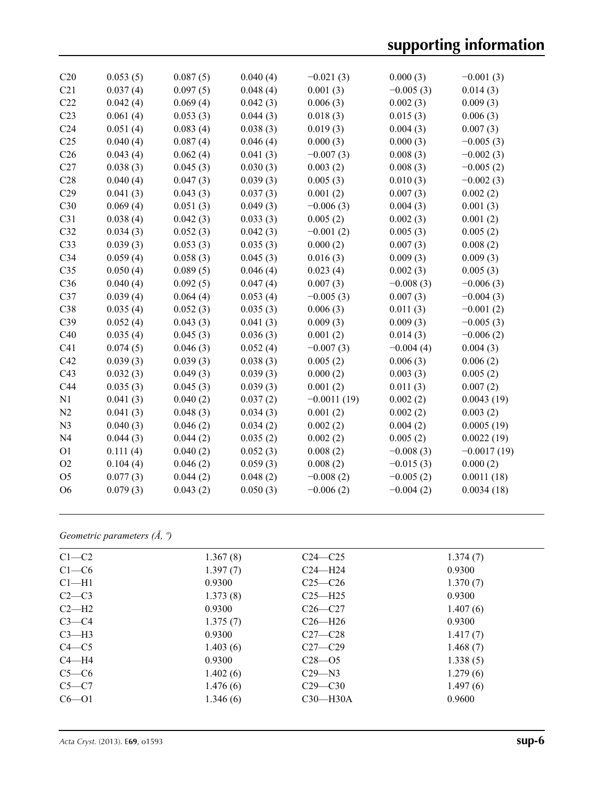| C20             | 0.053(5) | 0.087(5) | 0.040(4) | $-0.021(3)$   | 0.000(3)    | $-0.001(3)$   |
|-----------------|----------|----------|----------|---------------|-------------|---------------|
| C21             | 0.037(4) | 0.097(5) | 0.048(4) | 0.001(3)      | $-0.005(3)$ | 0.014(3)      |
| C22             | 0.042(4) | 0.069(4) | 0.042(3) | 0.006(3)      | 0.002(3)    | 0.009(3)      |
| C <sub>23</sub> | 0.061(4) | 0.053(3) | 0.044(3) | 0.018(3)      | 0.015(3)    | 0.006(3)      |
| C <sub>24</sub> | 0.051(4) | 0.083(4) | 0.038(3) | 0.019(3)      | 0.004(3)    | 0.007(3)      |
| C <sub>25</sub> | 0.040(4) | 0.087(4) | 0.046(4) | 0.000(3)      | 0.000(3)    | $-0.005(3)$   |
| C <sub>26</sub> | 0.043(4) | 0.062(4) | 0.041(3) | $-0.007(3)$   | 0.008(3)    | $-0.002(3)$   |
| C27             | 0.038(3) | 0.045(3) | 0.030(3) | 0.003(2)      | 0.008(3)    | $-0.005(2)$   |
| C28             | 0.040(4) | 0.047(3) | 0.039(3) | 0.005(3)      | 0.010(3)    | $-0.002(3)$   |
| C29             | 0.041(3) | 0.043(3) | 0.037(3) | 0.001(2)      | 0.007(3)    | 0.002(2)      |
| C30             | 0.069(4) | 0.051(3) | 0.049(3) | $-0.006(3)$   | 0.004(3)    | 0.001(3)      |
| C31             | 0.038(4) | 0.042(3) | 0.033(3) | 0.005(2)      | 0.002(3)    | 0.001(2)      |
| C32             | 0.034(3) | 0.052(3) | 0.042(3) | $-0.001(2)$   | 0.005(3)    | 0.005(2)      |
| C33             | 0.039(3) | 0.053(3) | 0.035(3) | 0.000(2)      | 0.007(3)    | 0.008(2)      |
| C34             | 0.059(4) | 0.058(3) | 0.045(3) | 0.016(3)      | 0.009(3)    | 0.009(3)      |
| C <sub>35</sub> | 0.050(4) | 0.089(5) | 0.046(4) | 0.023(4)      | 0.002(3)    | 0.005(3)      |
| C36             | 0.040(4) | 0.092(5) | 0.047(4) | 0.007(3)      | $-0.008(3)$ | $-0.006(3)$   |
| C37             | 0.039(4) | 0.064(4) | 0.053(4) | $-0.005(3)$   | 0.007(3)    | $-0.004(3)$   |
| C38             | 0.035(4) | 0.052(3) | 0.035(3) | 0.006(3)      | 0.011(3)    | $-0.001(2)$   |
| C39             | 0.052(4) | 0.043(3) | 0.041(3) | 0.009(3)      | 0.009(3)    | $-0.005(3)$   |
| C40             | 0.035(4) | 0.045(3) | 0.036(3) | 0.001(2)      | 0.014(3)    | $-0.006(2)$   |
| C41             | 0.074(5) | 0.046(3) | 0.052(4) | $-0.007(3)$   | $-0.004(4)$ | 0.004(3)      |
| C42             | 0.039(3) | 0.039(3) | 0.038(3) | 0.005(2)      | 0.006(3)    | 0.006(2)      |
| C43             | 0.032(3) | 0.049(3) | 0.039(3) | 0.000(2)      | 0.003(3)    | 0.005(2)      |
| C44             | 0.035(3) | 0.045(3) | 0.039(3) | 0.001(2)      | 0.011(3)    | 0.007(2)      |
| N1              | 0.041(3) | 0.040(2) | 0.037(2) | $-0.0011(19)$ | 0.002(2)    | 0.0043(19)    |
| N2              | 0.041(3) | 0.048(3) | 0.034(3) | 0.001(2)      | 0.002(2)    | 0.003(2)      |
| N <sub>3</sub>  | 0.040(3) | 0.046(2) | 0.034(2) | 0.002(2)      | 0.004(2)    | 0.0005(19)    |
| N <sub>4</sub>  | 0.044(3) | 0.044(2) | 0.035(2) | 0.002(2)      | 0.005(2)    | 0.0022(19)    |
| O <sub>1</sub>  | 0.111(4) | 0.040(2) | 0.052(3) | 0.008(2)      | $-0.008(3)$ | $-0.0017(19)$ |
| O2              | 0.104(4) | 0.046(2) | 0.059(3) | 0.008(2)      | $-0.015(3)$ | 0.000(2)      |
| O <sub>5</sub>  | 0.077(3) | 0.044(2) | 0.048(2) | $-0.008(2)$   | $-0.005(2)$ | 0.0011(18)    |
| O <sub>6</sub>  | 0.079(3) | 0.043(2) | 0.050(3) | $-0.006(2)$   | $-0.004(2)$ | 0.0034(18)    |

## *Geometric parameters (Å, º)*

| $C1-C2$   | 1.367(8) | $C24 - C25$ | 1.374(7) |  |
|-----------|----------|-------------|----------|--|
| $C1-C6$   | 1.397(7) | $C24 - H24$ | 0.9300   |  |
| $Cl-H1$   | 0.9300   | $C25-C26$   | 1.370(7) |  |
| $C2-C3$   | 1.373(8) | $C25 - H25$ | 0.9300   |  |
| $C2-H2$   | 0.9300   | $C26 - C27$ | 1.407(6) |  |
| $C3-C4$   | 1.375(7) | $C26 - H26$ | 0.9300   |  |
| $C3-H3$   | 0.9300   | $C27-C28$   | 1.417(7) |  |
| $C4 - C5$ | 1.403(6) | $C27-C29$   | 1.468(7) |  |
| $C4 - H4$ | 0.9300   | $C28 - 05$  | 1.338(5) |  |
| $C5-C6$   | 1.402(6) | $C29 - N3$  | 1.279(6) |  |
| $C5-C7$   | 1.476(6) | $C29 - C30$ | 1.497(6) |  |
| $C6 - O1$ | 1.346(6) | $C30$ —H30A | 0.9600   |  |
|           |          |             |          |  |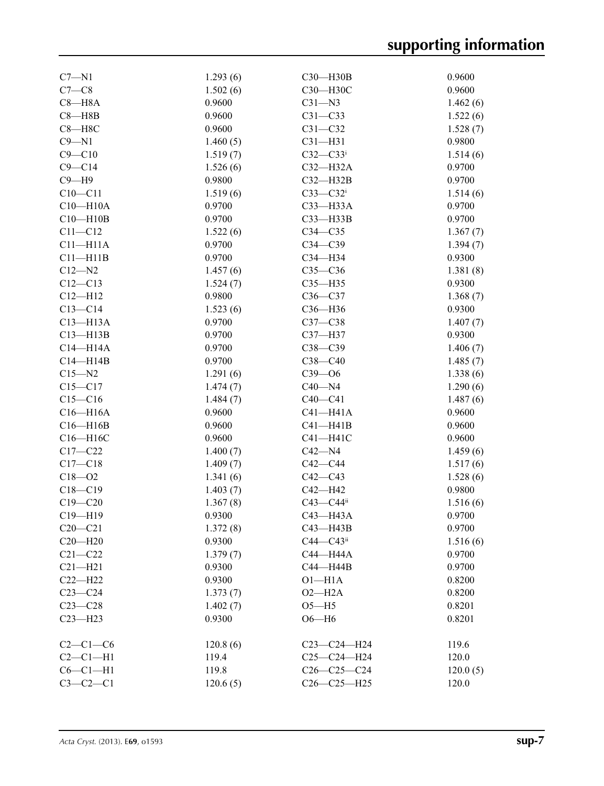| 1.502(6)<br>0.9600<br>$C7-C8$<br>C30-H30C<br>$C8 - H8A$<br>0.9600<br>$C31 - N3$<br>1.462(6)<br>$C8 - H8B$<br>0.9600<br>$C31 - C33$<br>1.522(6)<br>0.9600<br>$C8 - H8C$<br>$C31 - C32$<br>1.528(7)<br>$C9 - N1$<br>1.460(5)<br>$C31 - H31$<br>0.9800<br>$C9 - C10$<br>$C32-C33i$<br>1.514(6)<br>1.519(7)<br>$C9 - C14$<br>1.526(6)<br>$C32-H32A$<br>0.9700<br>$C9 - H9$<br>0.9800<br>$C32 - H32B$<br>0.9700<br>$C10 - C11$<br>1.519(6)<br>1.514(6)<br>$C33 - C32$<br>$C10 - H10A$<br>0.9700<br>$C33$ -H33A<br>0.9700<br>$C10 - H10B$<br>0.9700<br>$C33 - H33B$<br>0.9700<br>$C11 - C12$<br>1.522(6)<br>$C34 - C35$<br>1.367(7)<br>0.9700<br>$C11 - H11A$<br>$C34 - C39$<br>1.394(7)<br>$C11 - H11B$<br>0.9700<br>0.9300<br>$C34 - H34$<br>$C12 - N2$<br>1.457(6)<br>$C35-C36$<br>1.381(8)<br>$C12-C13$<br>1.524(7)<br>$C35 - H35$<br>0.9300<br>$C12 - H12$<br>0.9800<br>$C36-C37$<br>1.368(7)<br>$C13 - C14$<br>1.523(6)<br>$C36 - H36$<br>0.9300<br>0.9700<br>$C13 - H13A$<br>$C37-C38$<br>1.407(7)<br>$C13 - H13B$<br>0.9700<br>C37-H37<br>0.9300<br>$C14 - H14A$<br>0.9700<br>$C38 - C39$<br>1.406(7)<br>0.9700<br>$C38 - C40$<br>$C14 - H14B$<br>1.485(7)<br>$C39 - 06$<br>$C15 - N2$<br>1.291(6)<br>1.338(6)<br>$C15 - C17$<br>$C40 - N4$<br>1.290(6)<br>1.474(7)<br>$C15-C16$<br>1.484(7)<br>$C40 - C41$<br>1.487(6)<br>0.9600<br>$C16 - H16A$<br>$C41 - H41A$<br>0.9600<br>$C16 - H16B$<br>0.9600<br>$C41 - H41B$<br>0.9600<br>C16-H16C<br>0.9600<br>$C41 - H41C$<br>0.9600<br>$C17 - C22$<br>$C42 - N4$<br>1.459(6)<br>1.400(7)<br>$C17 - C18$<br>1.409(7)<br>$C42 - C44$<br>1.517(6)<br>$C18 - 02$<br>1.341(6)<br>$C42 - C43$<br>1.528(6)<br>0.9800<br>$C18 - C19$<br>1.403(7)<br>$C42 - H42$<br>$C19 - C20$<br>$C43 - C44$ ii<br>1.367(8)<br>1.516(6)<br>$C19 - H19$<br>0.9300<br>C43—H43A<br>0.9700<br>$C20 - C21$<br>1.372(8)<br>$C43 - H43B$<br>0.9700<br>0.9300<br>$C44 - C43$ ii<br>$C20 - H20$<br>1.516(6)<br>$C21 - C22$<br>1.379(7)<br>C44-H44A<br>0.9700<br>$C21 - H21$<br>0.9300<br>0.9700<br>C44-H44B<br>$C22-H22$<br>0.9300<br>$O1 - H1A$<br>0.8200<br>$C23-C24$<br>1.373(7)<br>$O2 - H2A$<br>0.8200<br>$C23-C28$<br>0.8201<br>1.402(7)<br>$O5 - H5$<br>$C23 - H23$<br>0.9300<br>$O6 - H6$<br>0.8201<br>$C2-C1-C6$<br>119.6<br>120.8(6)<br>C23-C24-H24<br>$C2-C1-H1$<br>$C25-C24-H24$<br>120.0<br>119.4<br>$C6-C1-H1$<br>$C26 - C25 - C24$<br>119.8<br>120.0(5) | $C7 - N1$  | 1.293(6) | $C30$ —H30B       | 0.9600 |
|--------------------------------------------------------------------------------------------------------------------------------------------------------------------------------------------------------------------------------------------------------------------------------------------------------------------------------------------------------------------------------------------------------------------------------------------------------------------------------------------------------------------------------------------------------------------------------------------------------------------------------------------------------------------------------------------------------------------------------------------------------------------------------------------------------------------------------------------------------------------------------------------------------------------------------------------------------------------------------------------------------------------------------------------------------------------------------------------------------------------------------------------------------------------------------------------------------------------------------------------------------------------------------------------------------------------------------------------------------------------------------------------------------------------------------------------------------------------------------------------------------------------------------------------------------------------------------------------------------------------------------------------------------------------------------------------------------------------------------------------------------------------------------------------------------------------------------------------------------------------------------------------------------------------------------------------------------------------------------------------------------------------------------------------------------------------------------------------------------------------------------------------------------------------------------------------------------------------------------------------------------------------------------------------------------------------------------------------------------------------------------------|------------|----------|-------------------|--------|
|                                                                                                                                                                                                                                                                                                                                                                                                                                                                                                                                                                                                                                                                                                                                                                                                                                                                                                                                                                                                                                                                                                                                                                                                                                                                                                                                                                                                                                                                                                                                                                                                                                                                                                                                                                                                                                                                                                                                                                                                                                                                                                                                                                                                                                                                                                                                                                                      |            |          |                   |        |
|                                                                                                                                                                                                                                                                                                                                                                                                                                                                                                                                                                                                                                                                                                                                                                                                                                                                                                                                                                                                                                                                                                                                                                                                                                                                                                                                                                                                                                                                                                                                                                                                                                                                                                                                                                                                                                                                                                                                                                                                                                                                                                                                                                                                                                                                                                                                                                                      |            |          |                   |        |
|                                                                                                                                                                                                                                                                                                                                                                                                                                                                                                                                                                                                                                                                                                                                                                                                                                                                                                                                                                                                                                                                                                                                                                                                                                                                                                                                                                                                                                                                                                                                                                                                                                                                                                                                                                                                                                                                                                                                                                                                                                                                                                                                                                                                                                                                                                                                                                                      |            |          |                   |        |
|                                                                                                                                                                                                                                                                                                                                                                                                                                                                                                                                                                                                                                                                                                                                                                                                                                                                                                                                                                                                                                                                                                                                                                                                                                                                                                                                                                                                                                                                                                                                                                                                                                                                                                                                                                                                                                                                                                                                                                                                                                                                                                                                                                                                                                                                                                                                                                                      |            |          |                   |        |
|                                                                                                                                                                                                                                                                                                                                                                                                                                                                                                                                                                                                                                                                                                                                                                                                                                                                                                                                                                                                                                                                                                                                                                                                                                                                                                                                                                                                                                                                                                                                                                                                                                                                                                                                                                                                                                                                                                                                                                                                                                                                                                                                                                                                                                                                                                                                                                                      |            |          |                   |        |
|                                                                                                                                                                                                                                                                                                                                                                                                                                                                                                                                                                                                                                                                                                                                                                                                                                                                                                                                                                                                                                                                                                                                                                                                                                                                                                                                                                                                                                                                                                                                                                                                                                                                                                                                                                                                                                                                                                                                                                                                                                                                                                                                                                                                                                                                                                                                                                                      |            |          |                   |        |
|                                                                                                                                                                                                                                                                                                                                                                                                                                                                                                                                                                                                                                                                                                                                                                                                                                                                                                                                                                                                                                                                                                                                                                                                                                                                                                                                                                                                                                                                                                                                                                                                                                                                                                                                                                                                                                                                                                                                                                                                                                                                                                                                                                                                                                                                                                                                                                                      |            |          |                   |        |
|                                                                                                                                                                                                                                                                                                                                                                                                                                                                                                                                                                                                                                                                                                                                                                                                                                                                                                                                                                                                                                                                                                                                                                                                                                                                                                                                                                                                                                                                                                                                                                                                                                                                                                                                                                                                                                                                                                                                                                                                                                                                                                                                                                                                                                                                                                                                                                                      |            |          |                   |        |
|                                                                                                                                                                                                                                                                                                                                                                                                                                                                                                                                                                                                                                                                                                                                                                                                                                                                                                                                                                                                                                                                                                                                                                                                                                                                                                                                                                                                                                                                                                                                                                                                                                                                                                                                                                                                                                                                                                                                                                                                                                                                                                                                                                                                                                                                                                                                                                                      |            |          |                   |        |
|                                                                                                                                                                                                                                                                                                                                                                                                                                                                                                                                                                                                                                                                                                                                                                                                                                                                                                                                                                                                                                                                                                                                                                                                                                                                                                                                                                                                                                                                                                                                                                                                                                                                                                                                                                                                                                                                                                                                                                                                                                                                                                                                                                                                                                                                                                                                                                                      |            |          |                   |        |
|                                                                                                                                                                                                                                                                                                                                                                                                                                                                                                                                                                                                                                                                                                                                                                                                                                                                                                                                                                                                                                                                                                                                                                                                                                                                                                                                                                                                                                                                                                                                                                                                                                                                                                                                                                                                                                                                                                                                                                                                                                                                                                                                                                                                                                                                                                                                                                                      |            |          |                   |        |
|                                                                                                                                                                                                                                                                                                                                                                                                                                                                                                                                                                                                                                                                                                                                                                                                                                                                                                                                                                                                                                                                                                                                                                                                                                                                                                                                                                                                                                                                                                                                                                                                                                                                                                                                                                                                                                                                                                                                                                                                                                                                                                                                                                                                                                                                                                                                                                                      |            |          |                   |        |
|                                                                                                                                                                                                                                                                                                                                                                                                                                                                                                                                                                                                                                                                                                                                                                                                                                                                                                                                                                                                                                                                                                                                                                                                                                                                                                                                                                                                                                                                                                                                                                                                                                                                                                                                                                                                                                                                                                                                                                                                                                                                                                                                                                                                                                                                                                                                                                                      |            |          |                   |        |
|                                                                                                                                                                                                                                                                                                                                                                                                                                                                                                                                                                                                                                                                                                                                                                                                                                                                                                                                                                                                                                                                                                                                                                                                                                                                                                                                                                                                                                                                                                                                                                                                                                                                                                                                                                                                                                                                                                                                                                                                                                                                                                                                                                                                                                                                                                                                                                                      |            |          |                   |        |
|                                                                                                                                                                                                                                                                                                                                                                                                                                                                                                                                                                                                                                                                                                                                                                                                                                                                                                                                                                                                                                                                                                                                                                                                                                                                                                                                                                                                                                                                                                                                                                                                                                                                                                                                                                                                                                                                                                                                                                                                                                                                                                                                                                                                                                                                                                                                                                                      |            |          |                   |        |
|                                                                                                                                                                                                                                                                                                                                                                                                                                                                                                                                                                                                                                                                                                                                                                                                                                                                                                                                                                                                                                                                                                                                                                                                                                                                                                                                                                                                                                                                                                                                                                                                                                                                                                                                                                                                                                                                                                                                                                                                                                                                                                                                                                                                                                                                                                                                                                                      |            |          |                   |        |
|                                                                                                                                                                                                                                                                                                                                                                                                                                                                                                                                                                                                                                                                                                                                                                                                                                                                                                                                                                                                                                                                                                                                                                                                                                                                                                                                                                                                                                                                                                                                                                                                                                                                                                                                                                                                                                                                                                                                                                                                                                                                                                                                                                                                                                                                                                                                                                                      |            |          |                   |        |
|                                                                                                                                                                                                                                                                                                                                                                                                                                                                                                                                                                                                                                                                                                                                                                                                                                                                                                                                                                                                                                                                                                                                                                                                                                                                                                                                                                                                                                                                                                                                                                                                                                                                                                                                                                                                                                                                                                                                                                                                                                                                                                                                                                                                                                                                                                                                                                                      |            |          |                   |        |
|                                                                                                                                                                                                                                                                                                                                                                                                                                                                                                                                                                                                                                                                                                                                                                                                                                                                                                                                                                                                                                                                                                                                                                                                                                                                                                                                                                                                                                                                                                                                                                                                                                                                                                                                                                                                                                                                                                                                                                                                                                                                                                                                                                                                                                                                                                                                                                                      |            |          |                   |        |
|                                                                                                                                                                                                                                                                                                                                                                                                                                                                                                                                                                                                                                                                                                                                                                                                                                                                                                                                                                                                                                                                                                                                                                                                                                                                                                                                                                                                                                                                                                                                                                                                                                                                                                                                                                                                                                                                                                                                                                                                                                                                                                                                                                                                                                                                                                                                                                                      |            |          |                   |        |
|                                                                                                                                                                                                                                                                                                                                                                                                                                                                                                                                                                                                                                                                                                                                                                                                                                                                                                                                                                                                                                                                                                                                                                                                                                                                                                                                                                                                                                                                                                                                                                                                                                                                                                                                                                                                                                                                                                                                                                                                                                                                                                                                                                                                                                                                                                                                                                                      |            |          |                   |        |
|                                                                                                                                                                                                                                                                                                                                                                                                                                                                                                                                                                                                                                                                                                                                                                                                                                                                                                                                                                                                                                                                                                                                                                                                                                                                                                                                                                                                                                                                                                                                                                                                                                                                                                                                                                                                                                                                                                                                                                                                                                                                                                                                                                                                                                                                                                                                                                                      |            |          |                   |        |
|                                                                                                                                                                                                                                                                                                                                                                                                                                                                                                                                                                                                                                                                                                                                                                                                                                                                                                                                                                                                                                                                                                                                                                                                                                                                                                                                                                                                                                                                                                                                                                                                                                                                                                                                                                                                                                                                                                                                                                                                                                                                                                                                                                                                                                                                                                                                                                                      |            |          |                   |        |
|                                                                                                                                                                                                                                                                                                                                                                                                                                                                                                                                                                                                                                                                                                                                                                                                                                                                                                                                                                                                                                                                                                                                                                                                                                                                                                                                                                                                                                                                                                                                                                                                                                                                                                                                                                                                                                                                                                                                                                                                                                                                                                                                                                                                                                                                                                                                                                                      |            |          |                   |        |
|                                                                                                                                                                                                                                                                                                                                                                                                                                                                                                                                                                                                                                                                                                                                                                                                                                                                                                                                                                                                                                                                                                                                                                                                                                                                                                                                                                                                                                                                                                                                                                                                                                                                                                                                                                                                                                                                                                                                                                                                                                                                                                                                                                                                                                                                                                                                                                                      |            |          |                   |        |
|                                                                                                                                                                                                                                                                                                                                                                                                                                                                                                                                                                                                                                                                                                                                                                                                                                                                                                                                                                                                                                                                                                                                                                                                                                                                                                                                                                                                                                                                                                                                                                                                                                                                                                                                                                                                                                                                                                                                                                                                                                                                                                                                                                                                                                                                                                                                                                                      |            |          |                   |        |
|                                                                                                                                                                                                                                                                                                                                                                                                                                                                                                                                                                                                                                                                                                                                                                                                                                                                                                                                                                                                                                                                                                                                                                                                                                                                                                                                                                                                                                                                                                                                                                                                                                                                                                                                                                                                                                                                                                                                                                                                                                                                                                                                                                                                                                                                                                                                                                                      |            |          |                   |        |
|                                                                                                                                                                                                                                                                                                                                                                                                                                                                                                                                                                                                                                                                                                                                                                                                                                                                                                                                                                                                                                                                                                                                                                                                                                                                                                                                                                                                                                                                                                                                                                                                                                                                                                                                                                                                                                                                                                                                                                                                                                                                                                                                                                                                                                                                                                                                                                                      |            |          |                   |        |
|                                                                                                                                                                                                                                                                                                                                                                                                                                                                                                                                                                                                                                                                                                                                                                                                                                                                                                                                                                                                                                                                                                                                                                                                                                                                                                                                                                                                                                                                                                                                                                                                                                                                                                                                                                                                                                                                                                                                                                                                                                                                                                                                                                                                                                                                                                                                                                                      |            |          |                   |        |
|                                                                                                                                                                                                                                                                                                                                                                                                                                                                                                                                                                                                                                                                                                                                                                                                                                                                                                                                                                                                                                                                                                                                                                                                                                                                                                                                                                                                                                                                                                                                                                                                                                                                                                                                                                                                                                                                                                                                                                                                                                                                                                                                                                                                                                                                                                                                                                                      |            |          |                   |        |
|                                                                                                                                                                                                                                                                                                                                                                                                                                                                                                                                                                                                                                                                                                                                                                                                                                                                                                                                                                                                                                                                                                                                                                                                                                                                                                                                                                                                                                                                                                                                                                                                                                                                                                                                                                                                                                                                                                                                                                                                                                                                                                                                                                                                                                                                                                                                                                                      |            |          |                   |        |
|                                                                                                                                                                                                                                                                                                                                                                                                                                                                                                                                                                                                                                                                                                                                                                                                                                                                                                                                                                                                                                                                                                                                                                                                                                                                                                                                                                                                                                                                                                                                                                                                                                                                                                                                                                                                                                                                                                                                                                                                                                                                                                                                                                                                                                                                                                                                                                                      |            |          |                   |        |
|                                                                                                                                                                                                                                                                                                                                                                                                                                                                                                                                                                                                                                                                                                                                                                                                                                                                                                                                                                                                                                                                                                                                                                                                                                                                                                                                                                                                                                                                                                                                                                                                                                                                                                                                                                                                                                                                                                                                                                                                                                                                                                                                                                                                                                                                                                                                                                                      |            |          |                   |        |
|                                                                                                                                                                                                                                                                                                                                                                                                                                                                                                                                                                                                                                                                                                                                                                                                                                                                                                                                                                                                                                                                                                                                                                                                                                                                                                                                                                                                                                                                                                                                                                                                                                                                                                                                                                                                                                                                                                                                                                                                                                                                                                                                                                                                                                                                                                                                                                                      |            |          |                   |        |
|                                                                                                                                                                                                                                                                                                                                                                                                                                                                                                                                                                                                                                                                                                                                                                                                                                                                                                                                                                                                                                                                                                                                                                                                                                                                                                                                                                                                                                                                                                                                                                                                                                                                                                                                                                                                                                                                                                                                                                                                                                                                                                                                                                                                                                                                                                                                                                                      |            |          |                   |        |
|                                                                                                                                                                                                                                                                                                                                                                                                                                                                                                                                                                                                                                                                                                                                                                                                                                                                                                                                                                                                                                                                                                                                                                                                                                                                                                                                                                                                                                                                                                                                                                                                                                                                                                                                                                                                                                                                                                                                                                                                                                                                                                                                                                                                                                                                                                                                                                                      |            |          |                   |        |
|                                                                                                                                                                                                                                                                                                                                                                                                                                                                                                                                                                                                                                                                                                                                                                                                                                                                                                                                                                                                                                                                                                                                                                                                                                                                                                                                                                                                                                                                                                                                                                                                                                                                                                                                                                                                                                                                                                                                                                                                                                                                                                                                                                                                                                                                                                                                                                                      |            |          |                   |        |
|                                                                                                                                                                                                                                                                                                                                                                                                                                                                                                                                                                                                                                                                                                                                                                                                                                                                                                                                                                                                                                                                                                                                                                                                                                                                                                                                                                                                                                                                                                                                                                                                                                                                                                                                                                                                                                                                                                                                                                                                                                                                                                                                                                                                                                                                                                                                                                                      |            |          |                   |        |
|                                                                                                                                                                                                                                                                                                                                                                                                                                                                                                                                                                                                                                                                                                                                                                                                                                                                                                                                                                                                                                                                                                                                                                                                                                                                                                                                                                                                                                                                                                                                                                                                                                                                                                                                                                                                                                                                                                                                                                                                                                                                                                                                                                                                                                                                                                                                                                                      |            |          |                   |        |
|                                                                                                                                                                                                                                                                                                                                                                                                                                                                                                                                                                                                                                                                                                                                                                                                                                                                                                                                                                                                                                                                                                                                                                                                                                                                                                                                                                                                                                                                                                                                                                                                                                                                                                                                                                                                                                                                                                                                                                                                                                                                                                                                                                                                                                                                                                                                                                                      |            |          |                   |        |
|                                                                                                                                                                                                                                                                                                                                                                                                                                                                                                                                                                                                                                                                                                                                                                                                                                                                                                                                                                                                                                                                                                                                                                                                                                                                                                                                                                                                                                                                                                                                                                                                                                                                                                                                                                                                                                                                                                                                                                                                                                                                                                                                                                                                                                                                                                                                                                                      |            |          |                   |        |
|                                                                                                                                                                                                                                                                                                                                                                                                                                                                                                                                                                                                                                                                                                                                                                                                                                                                                                                                                                                                                                                                                                                                                                                                                                                                                                                                                                                                                                                                                                                                                                                                                                                                                                                                                                                                                                                                                                                                                                                                                                                                                                                                                                                                                                                                                                                                                                                      |            |          |                   |        |
|                                                                                                                                                                                                                                                                                                                                                                                                                                                                                                                                                                                                                                                                                                                                                                                                                                                                                                                                                                                                                                                                                                                                                                                                                                                                                                                                                                                                                                                                                                                                                                                                                                                                                                                                                                                                                                                                                                                                                                                                                                                                                                                                                                                                                                                                                                                                                                                      |            |          |                   |        |
|                                                                                                                                                                                                                                                                                                                                                                                                                                                                                                                                                                                                                                                                                                                                                                                                                                                                                                                                                                                                                                                                                                                                                                                                                                                                                                                                                                                                                                                                                                                                                                                                                                                                                                                                                                                                                                                                                                                                                                                                                                                                                                                                                                                                                                                                                                                                                                                      |            |          |                   |        |
|                                                                                                                                                                                                                                                                                                                                                                                                                                                                                                                                                                                                                                                                                                                                                                                                                                                                                                                                                                                                                                                                                                                                                                                                                                                                                                                                                                                                                                                                                                                                                                                                                                                                                                                                                                                                                                                                                                                                                                                                                                                                                                                                                                                                                                                                                                                                                                                      |            |          |                   |        |
|                                                                                                                                                                                                                                                                                                                                                                                                                                                                                                                                                                                                                                                                                                                                                                                                                                                                                                                                                                                                                                                                                                                                                                                                                                                                                                                                                                                                                                                                                                                                                                                                                                                                                                                                                                                                                                                                                                                                                                                                                                                                                                                                                                                                                                                                                                                                                                                      | $C3-C2-C1$ | 120.6(5) | $C26 - C25 - H25$ | 120.0  |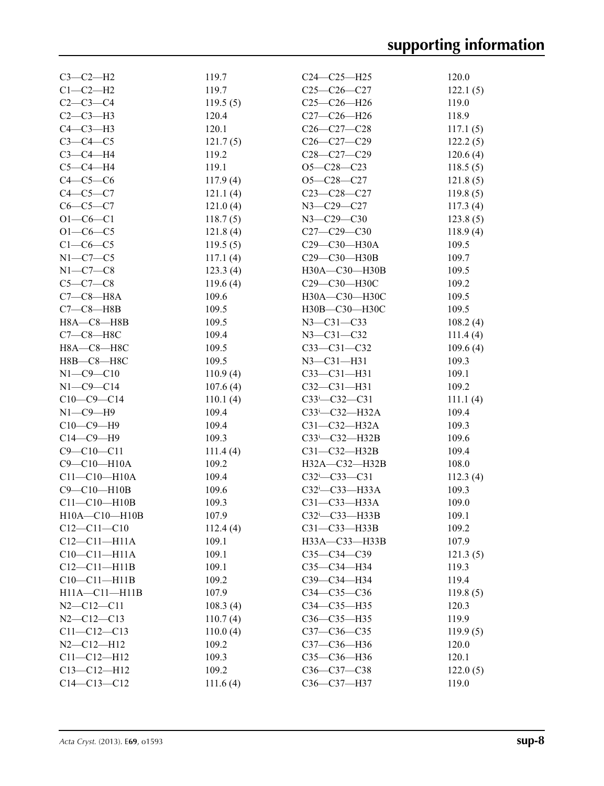| $C3-C2-H2$          | 119.7    | C24-C25-H25            | 120.0    |
|---------------------|----------|------------------------|----------|
| $C1-C2-H2$          | 119.7    | $C25-C26-C27$          | 122.1(5) |
| $C2-C3-C4$          | 119.5(5) | $C25-C26-H26$          | 119.0    |
| $C2-C3-H3$          | 120.4    | C27-C26-H26            | 118.9    |
| $C4-C3-H3$          | 120.1    | $C26 - C27 - C28$      | 117.1(5) |
| $C3-C4-C5$          | 121.7(5) | $C26-C27-C29$          | 122.2(5) |
| $C3-C4-H4$          | 119.2    | $C28-C27-C29$          | 120.6(4) |
| $C5-C4-H4$          | 119.1    | $O5 - C28 - C23$       | 118.5(5) |
| $C4-C5-C6$          | 117.9(4) | $O5 - C28 - C27$       | 121.8(5) |
| $C4-C5-C7$          | 121.1(4) | $C23-C28-C27$          | 119.8(5) |
| $C6-C5-C7$          | 121.0(4) | N3-C29-C27             | 117.3(4) |
| $O1 - CO - C1$      | 118.7(5) | $N3 - C29 - C30$       | 123.8(5) |
| $O1 - C6 - C5$      | 121.8(4) | $C27-C29-C30$          | 118.9(4) |
| $C1-C6-C5$          |          | C29-C30-H30A           | 109.5    |
|                     | 119.5(5) |                        |          |
| $N1-C7-C5$          | 117.1(4) | C29-C30-H30B           | 109.7    |
| $N1-C7-C8$          | 123.3(4) | H30A-C30-H30B          | 109.5    |
| $C5-C7-C8$          | 119.6(4) | C29-C30-H30C           | 109.2    |
| $C7-C8-HA$          | 109.6    | H30A-C30-H30C          | 109.5    |
| $C7-C8$ —H8B        | 109.5    | H30B-C30-H30C          | 109.5    |
| $H8A - C8 - H8B$    | 109.5    | $N3 - C31 - C33$       | 108.2(4) |
| $C7-C8-H8C$         | 109.4    | $N3 - C31 - C32$       | 111.4(4) |
| H8A-C8-H8C          | 109.5    | $C33-C31-C32$          | 109.6(4) |
| Н8В-С8-Н8С          | 109.5    | $N3 - C31 - H31$       | 109.3    |
| $N1 - C9 - C10$     | 110.9(4) | $C33-C31-H31$          | 109.1    |
| $N1 - C9 - C14$     | 107.6(4) | $C32-C31-H31$          | 109.2    |
| $C10-C9-C14$        | 110.1(4) | $C33^{i} - C32 - C31$  | 111.1(4) |
| $N1-C9-H9$          | 109.4    | C33i-C32-H32A          | 109.4    |
| $C10-C9-H9$         | 109.4    | $C31 - C32 - H32A$     | 109.3    |
| $C14-C9-H9$         | 109.3    | $C33^i$ - $C32$ -H32B  | 109.6    |
| $C9 - C10 - C11$    | 111.4(4) | C31-C32-H32B           | 109.4    |
| C9-C10-H10A         | 109.2    | H32A-C32-H32B          | 108.0    |
| $C11 - C10 - H10A$  | 109.4    | $C32$ i- $C33$ - $C31$ | 112.3(4) |
| $C9 - C10 - H10B$   | 109.6    | C32i-C33-H33A          | 109.3    |
| $C11 - C10 - H10B$  | 109.3    | C31-C33-H33A           | 109.0    |
| $H10A - C10 - H10B$ | 107.9    | $C32^i$ - $C33$ -H33B  | 109.1    |
| $C12 - C11 - C10$   | 112.4(4) | $C31-C33-H33B$         | 109.2    |
| $C12-C11-H11A$      | 109.1    | НЗЗА-СЗЗ-НЗЗВ          | 107.9    |
| $C10-C11-H11A$      | 109.1    |                        |          |
|                     |          | $C35 - C34 - C39$      | 121.3(5) |
| $C12-C11-H11B$      | 109.1    | C35-C34-H34            | 119.3    |
| $C10-C11-H11B$      | 109.2    | C39-C34-H34            | 119.4    |
| $H11A - C11 - H11B$ | 107.9    | $C34 - C35 - C36$      | 119.8(5) |
| $N2$ —C12—C11       | 108.3(4) | C34-C35-H35            | 120.3    |
| $N2 - C12 - C13$    | 110.7(4) | $C36 - C35 - H35$      | 119.9    |
| $C11 - C12 - C13$   | 110.0(4) | $C37 - C36 - C35$      | 119.9(5) |
| $N2 - C12 - H12$    | 109.2    | C37-C36-H36            | 120.0    |
| $C11 - C12 - H12$   | 109.3    | C35-C36-H36            | 120.1    |
| $C13 - C12 - H12$   | 109.2    | C36-C37-C38            | 122.0(5) |
| $C14 - C13 - C12$   | 111.6(4) | C36-C37-H37            | 119.0    |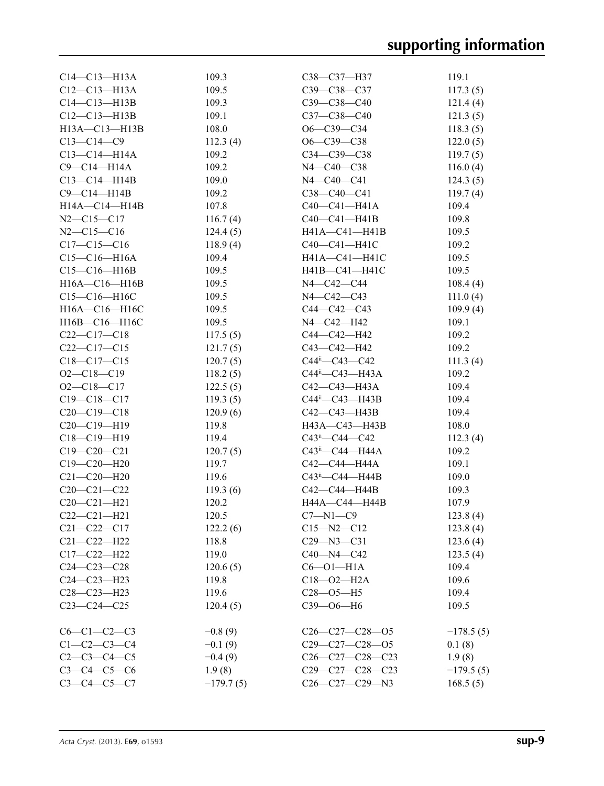| $C14 - C13 - H13A$  | 109.3       | C38-C37-H37                        | 119.1       |
|---------------------|-------------|------------------------------------|-------------|
| $C12-C13-H13A$      | 109.5       | C39-C38-C37                        | 117.3(5)    |
| $C14 - C13 - H13B$  | 109.3       | $C39 - C38 - C40$                  | 121.4(4)    |
| $C12-C13-H13B$      | 109.1       | $C37 - C38 - C40$                  | 121.3(5)    |
| H13A-C13-H13B       | 108.0       | $O6-C39-C34$                       | 118.3(5)    |
| $C13-C14-C9$        | 112.3(4)    | $O6 - C39 - C38$                   | 122.0(5)    |
| $C13 - C14 - H14A$  | 109.2       | $C34 - C39 - C38$                  | 119.7(5)    |
| $C9 - C14 - H14A$   | 109.2       | N4-C40-C38                         | 116.0(4)    |
| $C13 - C14 - H14B$  | 109.0       | $N4 - C40 - C41$                   | 124.3(5)    |
| $C9-C14-H14B$       | 109.2       | $C38 - C40 - C41$                  | 119.7(4)    |
| $H14A - C14 - H14B$ | 107.8       | $C40-C41-H41A$                     | 109.4       |
| $N2 - C15 - C17$    | 116.7(4)    | $C40 - C41 - H41B$                 | 109.8       |
| $N2 - C15 - C16$    | 124.4(5)    | H41A-C41-H41B                      | 109.5       |
| $C17 - C15 - C16$   | 118.9(4)    | C40-C41-H41C                       | 109.2       |
| $C15-C16-H16A$      | 109.4       | H41A-C41-H41C                      | 109.5       |
| $C15-C16-H16B$      | 109.5       | $H41B - C41 - H41C$                | 109.5       |
| $H16A - C16 - H16B$ | 109.5       | N4-C42-C44                         | 108.4(4)    |
| C15-C16-H16C        | 109.5       | N4-C42-C43                         | 111.0(4)    |
| H16A-C16-H16C       | 109.5       | $C44 - C42 - C43$                  | 109.9(4)    |
| $H16B - C16 - H16C$ | 109.5       | N4-C42-H42                         | 109.1       |
| $C22-C17-C18$       | 117.5(5)    | C44-C42-H42                        | 109.2       |
| $C22-C17-C15$       | 121.7(5)    | C43-C42-H42                        | 109.2       |
| $C18 - C17 - C15$   | 120.7(5)    | $C44ii - C43 - C42$                | 111.3(4)    |
| $O2 - C18 - C19$    | 118.2(5)    | $C44^{\text{ii}} - C43 - H43A$     | 109.2       |
| $O2 - C18 - C17$    | 122.5(5)    | C42—C43—H43A                       | 109.4       |
| $C19 - C18 - C17$   | 119.3(5)    | $C44^{\text{ii}}$ - $C43$ - $H43B$ | 109.4       |
| $C20-C19-C18$       | 120.9(6)    | C42—C43—H43B                       | 109.4       |
|                     |             |                                    | 108.0       |
| $C20-C19-H19$       | 119.8       | H43A-C43-H43B                      |             |
| $C18 - C19 - H19$   | 119.4       | $C43^{\text{ii}} - C44 - C42$      | 112.3(4)    |
| $C19 - C20 - C21$   | 120.7(5)    | $C43^{\text{ii}}$ - $C44$ - $H44A$ | 109.2       |
| $C19 - C20 - H20$   | 119.7       | С42—С44—Н44А                       | 109.1       |
| $C21 - C20 - H20$   | 119.6       | C43 <sup>ii</sup> —C44—H44B        | 109.0       |
| $C20 - C21 - C22$   | 119.3(6)    | C42—C44—H44B                       | 109.3       |
| $C20-C21-H21$       | 120.2       | H44A-C44-H44B                      | 107.9       |
| $C22-C21-H21$       | 120.5       | $C7 - N1 - C9$                     | 123.8(4)    |
| $C21 - C22 - C17$   | 122.2(6)    | $C15 - N2 - C12$                   | 123.8(4)    |
| $C21 - C22 - H22$   | 118.8       | $C29 - N3 - C31$                   | 123.6(4)    |
| $C17 - C22 - H22$   | 119.0       | $C40 - N4 - C42$                   | 123.5(4)    |
| $C24 - C23 - C28$   | 120.6(5)    | $C6 - O1 - H1A$                    | 109.4       |
| $C24 - C23 - H23$   | 119.8       | $C18 - 02 - H2A$                   | 109.6       |
| $C28 - C23 - H23$   | 119.6       | $C28 - 05 - H5$                    | 109.4       |
| $C23-C24-C25$       | 120.4(5)    | СЗ9-06-Н6                          | 109.5       |
| $C6-C1-C2-C3$       | $-0.8(9)$   | $C26-C27-C28-05$                   | $-178.5(5)$ |
| $C1 - C2 - C3 - C4$ | $-0.1(9)$   | $C29-C27-C28-05$                   | 0.1(8)      |
| $C2 - C3 - C4 - C5$ | $-0.4(9)$   | $C26-C27-C28-C23$                  | 1.9(8)      |
| $C3 - C4 - C5 - C6$ | 1.9(8)      | $C29-C27-C28-C23$                  | $-179.5(5)$ |
| $C3 - C4 - C5 - C7$ | $-179.7(5)$ | $C26-C27-C29-N3$                   | 168.5(5)    |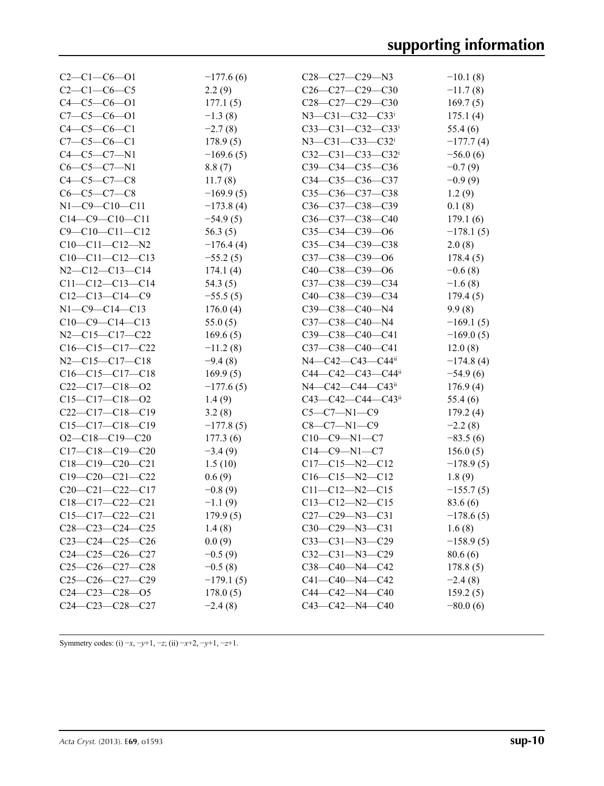| $C2-C1-C6-01$          | $-177.6(6)$ | $C28-C27-C29-N3$               | $-10.1(8)$  |
|------------------------|-------------|--------------------------------|-------------|
| $C2-C1-C6-C5$          | 2.2(9)      | $C26-C27-C29-C30$              | $-11.7(8)$  |
| $C4 - C5 - C6 - O1$    | 177.1(5)    | $C28-C27-C29-C30$              | 169.7(5)    |
| $C7-C5-C6-O1$          | $-1.3(8)$   | $N3 - C31 - C32 - C33i$        | 175.1(4)    |
| $C4 - C5 - C6 - C1$    | $-2.7(8)$   | $C33-C31-C32-C33$              | 55.4(6)     |
| $C7 - C5 - C6 - C1$    | 178.9(5)    | $N3 - C31 - C33 - C32$         | $-177.7(4)$ |
| $C4 - C5 - C7 - N1$    | $-169.6(5)$ | $C32-C31-C33-C32$ <sup>i</sup> | $-56.0(6)$  |
| $C6-C5-C7-N1$          | 8.8(7)      | C39-C34-C35-C36                | $-0.7(9)$   |
| $C4 - C5 - C7 - C8$    | 11.7(8)     | C34-C35-C36-C37                | $-0.9(9)$   |
| $C6-C5-C7-C8$          | $-169.9(5)$ | $C35-C36-C37-C38$              | 1.2(9)      |
| $N1 - C9 - C10 - C11$  | $-173.8(4)$ | C36-C37-C38-C39                | 0.1(8)      |
| $C14-C9-C10-C11$       | $-54.9(5)$  | C36-C37-C38-C40                | 179.1(6)    |
| $C9 - C10 - C11 - C12$ | 56.3(5)     | $C35-C34-C39-06$               | $-178.1(5)$ |
| $C10-C11-C12-N2$       | $-176.4(4)$ | C35-C34-C39-C38                | 2.0(8)      |
| $C10-C11-C12-C13$      | $-55.2(5)$  | C37-C38-C39-O6                 | 178.4(5)    |
| $N2 - C12 - C13 - C14$ | 174.1(4)    | $C40-C38-C39-06$               | $-0.6(8)$   |
| $C11-C12-C13-C14$      | 54.3 $(5)$  | C37-C38-C39-C34                | $-1.6(8)$   |
| $C12-C13-C14-C9$       | $-55.5(5)$  | C40-C38-C39-C34                | 179.4(5)    |
| $N1 - C9 - C14 - C13$  | 176.0(4)    | C39-C38-C40-N4                 | 9.9(8)      |
| $C10-C9-C14-C13$       | 55.0(5)     | C37-C38-C40-N4                 | $-169.1(5)$ |
| $N2 - C15 - C17 - C22$ | 169.6(5)    | C39-C38-C40-C41                | $-169.0(5)$ |
| $C16-C15-C17-C22$      | $-11.2(8)$  | C37-C38-C40-C41                | 12.0(8)     |
| $N2-C15-C17-C18$       | $-9.4(8)$   | N4-C42-C43-C44ii               | $-174.8(4)$ |
| $C16-C15-C17-C18$      | 169.9(5)    | C44-C42-C43-C44ii              | $-54.9(6)$  |
| $C22-C17-C18-O2$       | $-177.6(5)$ | $N4 - C42 - C44 - C43$         | 176.9(4)    |
| $C15-C17-C18-O2$       | 1.4(9)      | $C43 - C42 - C44 - C43$        | 55.4(6)     |
| $C22-C17-C18-C19$      | 3.2(8)      | $C5-C7-N1-C9$                  | 179.2(4)    |
| $C15-C17-C18-C19$      | $-177.8(5)$ | $C8-C7-N1-C9$                  | $-2.2(8)$   |
| $O2-C18-C19-C20$       | 177.3(6)    | $C10-C9-N1-C7$                 | $-83.5(6)$  |
| $C17-C18-C19-C20$      | $-3.4(9)$   | $C14-C9-N1-C7$                 | 156.0(5)    |
| $C18-C19-C20-C21$      | 1.5(10)     | $C17-C15-N2-C12$               | $-178.9(5)$ |
| $C19-C20-C21-C22$      | 0.6(9)      | $C16-C15-N2-C12$               | 1.8(9)      |
| $C20-C21-C22-C17$      | $-0.8(9)$   | $C11-C12-N2-C15$               | $-155.7(5)$ |
| $C18-C17-C22-C21$      | $-1.1(9)$   | $C13-C12-N2-C15$               | 83.6 (6)    |
| $C15-C17-C22-C21$      | 179.9(5)    | $C27-C29-N3-C31$               | $-178.6(5)$ |
| $C28-C23-C24-C25$      | 1.4(8)      | $C30-C29-N3-C31$               | 1.6(8)      |
| $C23-C24-C25-C26$      | 0.0(9)      | $C33-C31-N3-C29$               | $-158.9(5)$ |
| $C24-C25-C26-C27$      | $-0.5(9)$   | $C32-C31-N3-C29$               | 80.6(6)     |
| $C25-C26-C27-C28$      | $-0.5(8)$   | C38-C40-N4-C42                 | 178.8(5)    |
| $C25-C26-C27-C29$      | $-179.1(5)$ | $C41 - C40 - N4 - C42$         | $-2.4(8)$   |
| $C24-C23-C28-05$       | 178.0(5)    | $C44 - C42 - N4 - C40$         | 159.2(5)    |
| $C24-C23-C28-C27$      | $-2.4(8)$   | C43-C42-N4-C40                 | $-80.0(6)$  |

Symmetry codes: (i) −*x*, −*y*+1, −*z*; (ii) −*x*+2, −*y*+1, −*z*+1.